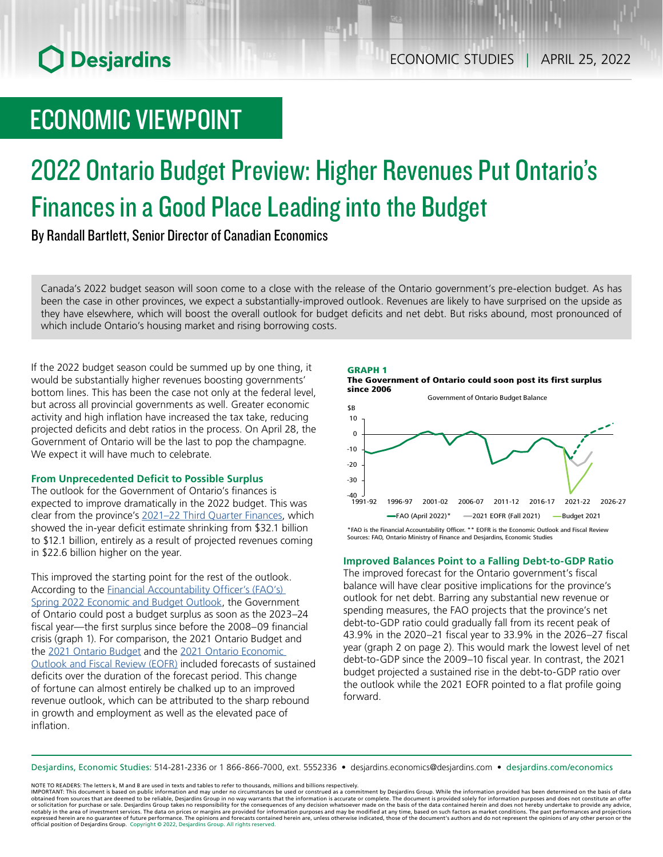# **O** Desjardins

# ECONOMIC VIEWPOINT

# 2022 Ontario Budget Preview: Higher Revenues Put Ontario's Finances in a Good Place Leading into the Budget

By Randall Bartlett, Senior Director of Canadian Economics

Canada's 2022 budget season will soon come to a close with the release of the Ontario government's pre-election budget. As has been the case in other provinces, we expect a substantially-improved outlook. Revenues are likely to have surprised on the upside as they have elsewhere, which will boost the overall outlook for budget deficits and net debt. But risks abound, most pronounced of which include Ontario's housing market and rising borrowing costs.

If the 2022 budget season could be summed up by one thing, it would be substantially higher revenues boosting governments' bottom lines. This has been the case not only at the federal level, but across all provincial governments as well. Greater economic activity and high inflation have increased the tax take, reducing projected deficits and debt ratios in the process. On April 28, the Government of Ontario will be the last to pop the champagne. We expect it will have much to celebrate.

# **From Unprecedented Deficit to Possible Surplus**

The outlook for the Government of Ontario's finances is expected to improve dramatically in the 2022 budget. This was clear from the province's [2021–22 Third Quarter Finances,](https://www.ontario.ca/page/2021-22-third-quarter-finances#:~:text=Ontario) which showed the in-year deficit estimate shrinking from \$32.1 billion to \$12.1 billion, entirely as a result of projected revenues coming in \$22.6 billion higher on the year.

This improved the starting point for the rest of the outlook. According to the [Financial Accountability Officer's \(FAO's\)](https://www.fao-on.org/en/Blog/Publications/EBO-SP2022)  Spring [2022 Economic and Budget Outlook](https://www.fao-on.org/en/Blog/Publications/EBO-SP2022), the Government of Ontario could post a budget surplus as soon as the 2023–24 fiscal year—the first surplus since before the 2008–09 financial crisis (graph 1). For comparison, the 2021 Ontario Budget and the [2021 Ontario Budget](https://budget.ontario.ca/2021/pdf/2021-ontario-budget-en.pdf) and the 2021 Ontario Economic [Outlook and Fiscal Review \(EOFR\)](https://budget.ontario.ca/2021/fallstatement/pdf/2021-fall-statement-en.pdf) included forecasts of sustained deficits over the duration of the forecast period. This change of fortune can almost entirely be chalked up to an improved revenue outlook, which can be attributed to the sharp rebound in growth and employment as well as the elevated pace of inflation.

### GRAPH 1





Sources: FAO, Ontario Ministry of Finance and Desjardins, Economic Studies

### **Improved Balances Point to a Falling Debt-to-GDP Ratio**

The improved forecast for the Ontario government's fiscal balance will have clear positive implications for the province's outlook for net debt. Barring any substantial new revenue or spending measures, the FAO projects that the province's net debt-to-GDP ratio could gradually fall from its recent peak of 43.9% in the 2020–21 fiscal year to 33.9% in the 2026–27 fiscal year (graph 2 on page 2). This would mark the lowest level of net debt-to-GDP since the 2009–10 fiscal year. In contrast, the 2021 budget projected a sustained rise in the debt-to-GDP ratio over the outlook while the 2021 EOFR pointed to a flat profile going forward.

Desjardins, Economic Studies: 514‑281‑2336 or 1 866‑866‑7000, ext. 5552336 • desjardins.economics@desjardins.com • [desjardins.com/economics](http://desjardins.com/economics)

NOTE TO READERS: The letters k, M and B are used in texts and tables to refer to thousands, millions and billions respectively.

IMPORTANT: This document is based on public information and may under no circumstances be used or construed as a commitment by Desjardins Group. While the information provided has been determined on the basis of data<br>obtai notably in the area of investment services. The data on prices or margins are provided for information purposes and may be modified at any time, based on such factors as market conditions. The past performances and project expressed herein are no guarantee of future performance. The opinions and forecasts contained herein are, unless otherwise indicated, those of the document's authors and do not represent the opinions of any other person or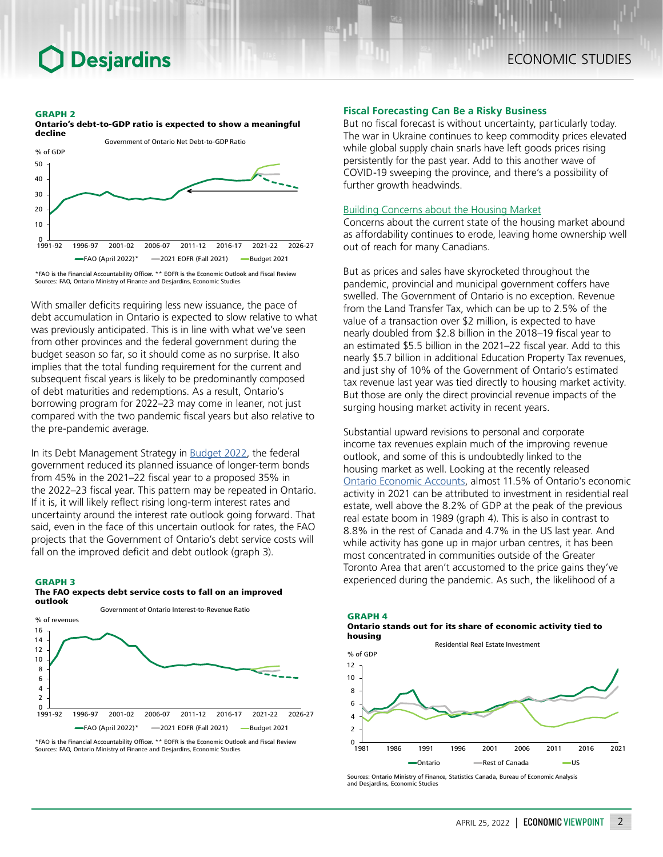# **Desjardins**

#### GRAPH 2



\*FAO is the Financial Accountability Officer. \*\* EOFR is the Economic Outlook and Fiscal Review Sources: FAO, Ontario Ministry of Finance and Desjardins, Economic Studies

With smaller deficits requiring less new issuance, the pace of debt accumulation in Ontario is expected to slow relative to what was previously anticipated. This is in line with what we've seen from other provinces and the federal government during the budget season so far, so it should come as no surprise. It also implies that the total funding requirement for the current and subsequent fiscal years is likely to be predominantly composed of debt maturities and redemptions. As a result, Ontario's borrowing program for 2022–23 may come in leaner, not just compared with the two pandemic fiscal years but also relative to the pre-pandemic average.

In its Debt Management Strategy in [Budget 2022,](https://budget.gc.ca/2022/pdf/budget-2022-en.pdf) the federal government reduced its planned issuance of longer-term bonds from 45% in the 2021–22 fiscal year to a proposed 35% in the 2022–23 fiscal year. This pattern may be repeated in Ontario. If it is, it will likely reflect rising long-term interest rates and uncertainty around the interest rate outlook going forward. That said, even in the face of this uncertain outlook for rates, the FAO projects that the Government of Ontario's debt service costs will fall on the improved deficit and debt outlook (graph 3).

# GRAPH 3 The FAO expects debt service costs to fall on an improved



\*FAO is the Financial Accountability Officer. \*\* EOFR is the Economic Outlook and Fiscal Review Sources: FAO, Ontario Ministry of Finance and Desjardins, Economic Studies

#### **Fiscal Forecasting Can Be a Risky Business**

But no fiscal forecast is without uncertainty, particularly today. The war in Ukraine continues to keep commodity prices elevated while global supply chain snarls have left goods prices rising persistently for the past year. Add to this another wave of COVID‑19 sweeping the province, and there's a possibility of further growth headwinds.

#### Building Concerns about the Housing Market

Concerns about the current state of the housing market abound as affordability continues to erode, leaving home ownership well out of reach for many Canadians.

But as prices and sales have skyrocketed throughout the pandemic, provincial and municipal government coffers have swelled. The Government of Ontario is no exception. Revenue from the Land Transfer Tax, which can be up to 2.5% of the value of a transaction over \$2 million, is expected to have nearly doubled from \$2.8 billion in the 2018–19 fiscal year to an estimated \$5.5 billion in the 2021–22 fiscal year. Add to this nearly \$5.7 billion in additional Education Property Tax revenues, and just shy of 10% of the Government of Ontario's estimated tax revenue last year was tied directly to housing market activity. But those are only the direct provincial revenue impacts of the surging housing market activity in recent years.

Substantial upward revisions to personal and corporate income tax revenues explain much of the improving revenue outlook, and some of this is undoubtedly linked to the housing market as well. Looking at the recently released Ontario [Economic](https://www.ontario.ca/page/ontario-economic-accounts) Accounts, almost 11.5% of Ontario's economic activity in 2021 can be attributed to investment in residential real estate, well above the 8.2% of GDP at the peak of the previous real estate boom in 1989 (graph 4). This is also in contrast to 8.8% in the rest of Canada and 4.7% in the US last year. And while activity has gone up in major urban centres, it has been most concentrated in communities outside of the Greater Toronto Area that aren't accustomed to the price gains they've experienced during the pandemic. As such, the likelihood of a



Residential Real Estate Investment



Sources: Ontario Ministry of Finance, Statistics Canada, Bureau of Economic Analysis and Desjardins, Economic Studies